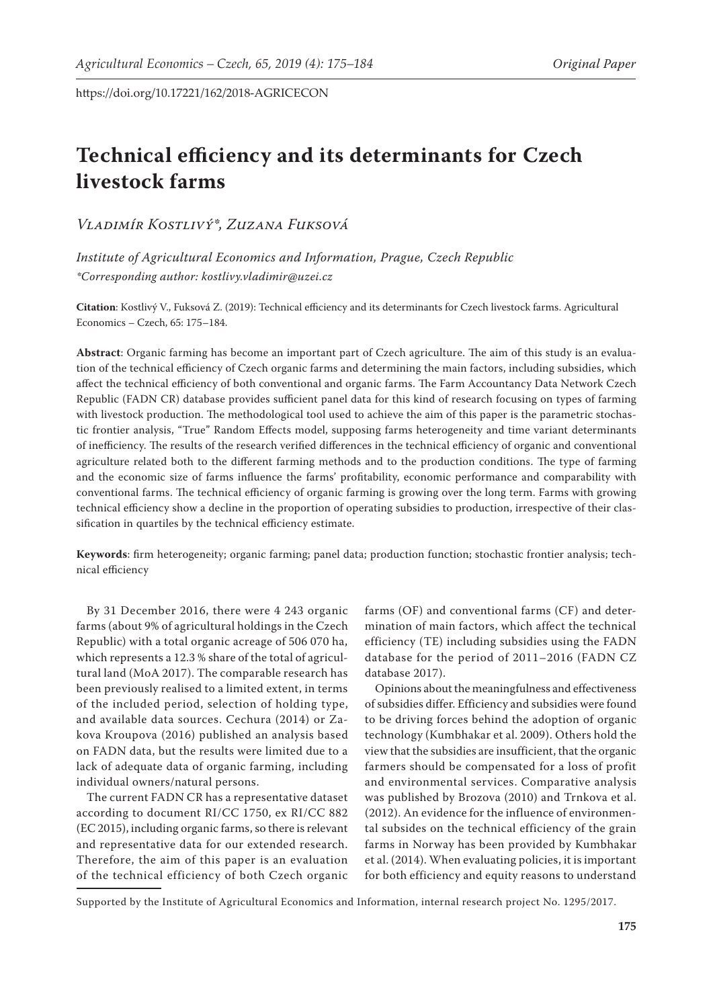# **Technical efficiency and its determinants for Czech livestock farms**

*Vladimír Kostlivý\*, Zuzana Fuksová*

*Institute of Agricultural Economics and Information, Prague, Czech Republic \*Corresponding author: kostlivy.vladimir@uzei.cz*

**Citation**: Kostlivý V., Fuksová Z. (2019): Technical efficiency and its determinants for Czech livestock farms. Agricultural Economics – Czech, 65: 175–184.

**Abstract**: Organic farming has become an important part of Czech agriculture. The aim of this study is an evaluation of the technical efficiency of Czech organic farms and determining the main factors, including subsidies, which affect the technical efficiency of both conventional and organic farms. The Farm Accountancy Data Network Czech Republic (FADN CR) database provides sufficient panel data for this kind of research focusing on types of farming with livestock production. The methodological tool used to achieve the aim of this paper is the parametric stochastic frontier analysis, "True" Random Effects model, supposing farms heterogeneity and time variant determinants of inefficiency. The results of the research verified differences in the technical efficiency of organic and conventional agriculture related both to the different farming methods and to the production conditions. The type of farming and the economic size of farms influence the farms' profitability, economic performance and comparability with conventional farms. The technical efficiency of organic farming is growing over the long term. Farms with growing technical efficiency show a decline in the proportion of operating subsidies to production, irrespective of their classification in quartiles by the technical efficiency estimate.

**Keywords**: firm heterogeneity; organic farming; panel data; production function; stochastic frontier analysis; technical efficiency

By 31 December 2016, there were 4 243 organic farms (about 9% of agricultural holdings in the Czech Republic) with a total organic acreage of 506 070 ha, which represents a 12.3 % share of the total of agricultural land (MoA 2017). The comparable research has been previously realised to a limited extent, in terms of the included period, selection of holding type, and available data sources. Cechura (2014) or Zakova Kroupova (2016) published an analysis based on FADN data, but the results were limited due to a lack of adequate data of organic farming, including individual owners/natural persons.

The current FADN CR has a representative dataset according to document RI/CC 1750, ex RI/CC 882 (EC 2015), including organic farms, so there is relevant and representative data for our extended research. Therefore, the aim of this paper is an evaluation of the technical efficiency of both Czech organic

farms (OF) and conventional farms (CF) and determination of main factors, which affect the technical efficiency (TE) including subsidies using the FADN database for the period of 2011–2016 (FADN CZ database 2017).

Opinions about the meaningfulness and effectiveness of subsidies differ. Efficiency and subsidies were found to be driving forces behind the adoption of organic technology (Kumbhakar et al. 2009). Others hold the view that the subsidies are insufficient, that the organic farmers should be compensated for a loss of profit and environmental services. Comparative analysis was published by Brozova (2010) and Trnkova et al. (2012). An evidence for the influence of environmental subsides on the technical efficiency of the grain farms in Norway has been provided by Kumbhakar et al. (2014). When evaluating policies, it is important for both efficiency and equity reasons to understand

Supported by the Institute of Agricultural Economics and Information, internal research project No. 1295/2017.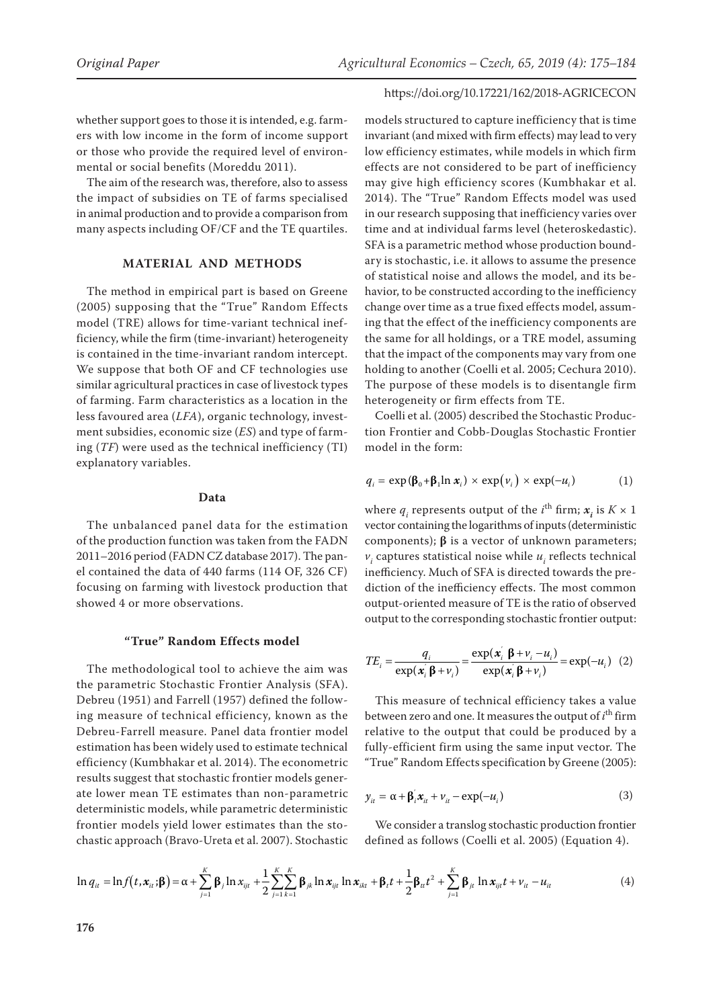whether support goes to those it is intended, e.g. farmers with low income in the form of income support or those who provide the required level of environmental or social benefits (Moreddu 2011).

The aim of the research was, therefore, also to assess the impact of subsidies on TE of farms specialised in animal production and to provide a comparison from many aspects including OF/CF and the TE quartiles.

## **MATERIAL AND METHODS**

The method in empirical part is based on Greene (2005) supposing that the "True" Random Effects model (TRE) allows for time-variant technical inefficiency, while the firm (time-invariant) heterogeneity is contained in the time-invariant random intercept. We suppose that both OF and CF technologies use similar agricultural practices in case of livestock types of farming. Farm characteristics as a location in the less favoured area (*LFA*), organic technology, investment subsidies, economic size (*ES*) and type of farming (*TF*) were used as the technical inefficiency (TI) explanatory variables.

#### **Data**

The unbalanced panel data for the estimation of the production function was taken from the FADN 2011–2016 period (FADN CZ database 2017). The panel contained the data of 440 farms (114 OF, 326 CF) focusing on farming with livestock production that showed 4 or more observations.

#### **"True" Random Effects model**

The methodological tool to achieve the aim was the parametric Stochastic Frontier Analysis (SFA). Debreu (1951) and Farrell (1957) defined the following measure of technical efficiency, known as the Debreu-Farrell measure. Panel data frontier model estimation has been widely used to estimate technical efficiency (Kumbhakar et al. 2014). The econometric results suggest that stochastic frontier models generate lower mean TE estimates than non-parametric deterministic models, while parametric deterministic frontier models yield lower estimates than the stochastic approach (Bravo-Ureta et al. 2007). Stochastic

#### https://doi.org/10.17221/162/2018-AGRICECON

models structured to capture inefficiency that is time invariant (and mixed with firm effects) may lead to very low efficiency estimates, while models in which firm effects are not considered to be part of inefficiency may give high efficiency scores (Kumbhakar et al. 2014). The "True" Random Effects model was used in our research supposing that inefficiency varies over time and at individual farms level (heteroskedastic). SFA is a parametric method whose production boundary is stochastic, i.e. it allows to assume the presence of statistical noise and allows the model, and its behavior, to be constructed according to the inefficiency change over time as a true fixed effects model, assuming that the effect of the inefficiency components are the same for all holdings, or a TRE model, assuming that the impact of the components may vary from one holding to another (Coelli et al. 2005; Cechura 2010). The purpose of these models is to disentangle firm heterogeneity or firm effects from TE.

Coelli et al. (2005) described the Stochastic Production Frontier and Cobb-Douglas Stochastic Frontier model in the form:

$$
q_i = \exp(\beta_0 + \beta_1 \ln x_i) \times \exp(\nu_i) \times \exp(-u_i)
$$
 (1)

where  $q_i$  represents output of the *i*<sup>th</sup> firm;  $x_i$  is  $K \times 1$ vector containing the logarithms of inputs (deterministic components); **β** is a vector of unknown parameters;  $v_i$  captures statistical noise while  $u_i$  reflects technical inefficiency. Much of SFA is directed towards the prediction of the inefficiency effects. The most common output-oriented measure of TE is the ratio of observed output to the corresponding stochastic frontier output:

$$
TE_i = \frac{q_i}{\exp(\boldsymbol{x}_i \boldsymbol{\beta} + \nu_i)} = \frac{\exp(\boldsymbol{x}_i \boldsymbol{\beta} + \nu_i - u_i)}{\exp(\boldsymbol{x}_i \boldsymbol{\beta} + \nu_i)} = \exp(-u_i) \quad (2)
$$

This measure of technical efficiency takes a value between zero and one. It measures the output of *i*<sup>th</sup> firm relative to the output that could be produced by a fully-efficient firm using the same input vector. The "True" Random Effects specification by Greene (2005):

$$
y_{it} = \alpha + \beta_i' x_{it} + v_{it} - \exp(-u_i)
$$
 (3)

We consider a translog stochastic production frontier defined as follows (Coelli et al. 2005) (Equation 4).

$$
\ln q_{it} = \ln f(t, x_{it}; \beta) = \alpha + \sum_{j=1}^{K} \beta_j \ln x_{ijt} + \frac{1}{2} \sum_{j=1}^{K} \sum_{k=1}^{K} \beta_{jk} \ln x_{ijt} \ln x_{ikt} + \beta_t t + \frac{1}{2} \beta_{tt} t^2 + \sum_{j=1}^{K} \beta_{jt} \ln x_{ijt} t + v_{it} - u_{it}
$$
(4)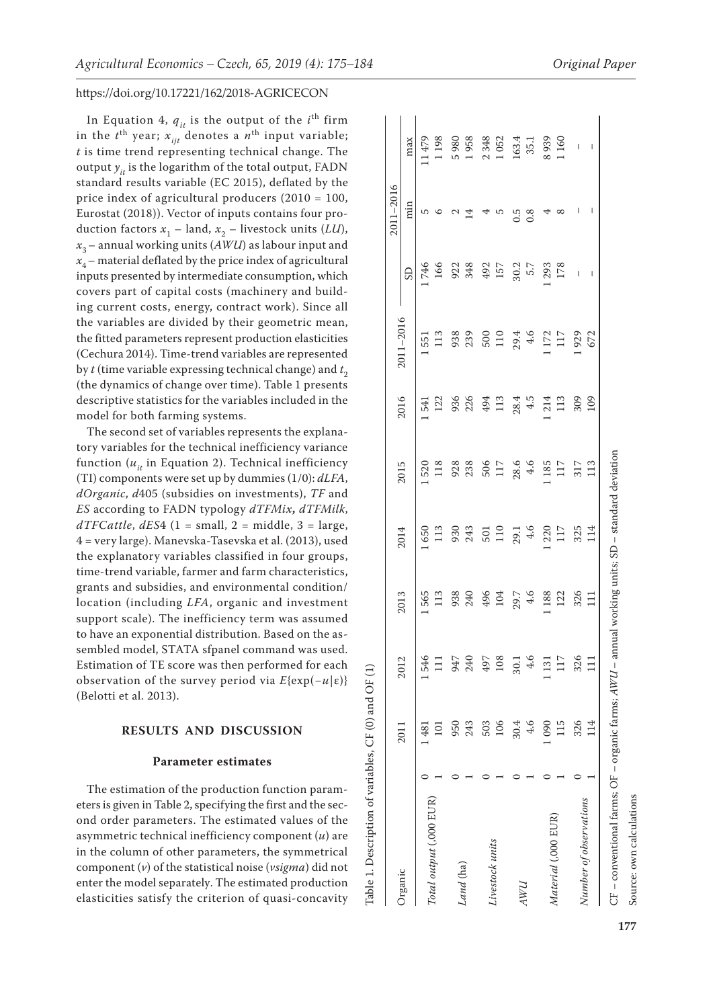In Equation 4,  $q_{it}$  is the output of the  $i^{\text{th}}$  firm in the  $t^{\text{th}}$  year;  $x_{ijt}$  denotes a  $n^{\text{th}}$  input variable; *t* is time trend representing technical change. The output  $y_{it}$  is the logarithm of the total output, FADN standard results variable (EC 2015), deflated by the price index of agricultural producers (2010 = 100, Eurostat (2018)). Vector of inputs contains four production factors  $x_1$  – land,  $x_2$  – livestock units (*LU*),  $x_3$  – annual working units ( $AWU$ ) as labour input and  $x_4$  – material deflated by the price index of agricultural inputs presented by intermediate consumption, which covers part of capital costs (machinery and building current costs, energy, contract work). Since all the variables are divided by their geometric mean, the fitted parameters represent production elasticities (Cechura 2014). Time-trend variables are represented by  $t$  (time variable expressing technical change) and  $t_2$ (the dynamics of change over time). Table 1 presents descriptive statistics for the variables included in the model for both farming systems.

The second set of variables represents the explanatory variables for the technical inefficiency variance function  $(u_{i}$  in Equation 2). Technical inefficiency (TI) components were set up by dummies (1/0): *dLFA*, *dOrganic*, *d*405 (subsidies on investments), *TF* and *ES* according to FADN typology *dTFMix***,** *dTFMilk*, *dTFCattle*, *dES*4 (1 = small, 2 = middle, 3 = large, 4 = very large). Manevska-Tasevska et al. (2013), used the explanatory variables classified in four groups, time-trend variable, farmer and farm characteristics, grants and subsidies, and environmental condition/ location (including *LFA*, organic and investment support scale). The inefficiency term was assumed to have an exponential distribution. Based on the assembled model, STATA sfpanel command was used. Estimation of TE score was then performed for each observation of the survey period via *E*{exp(−*u*|ε)} (Belotti et al. 2013).

#### **RESULTS AND DISCUSSION**

#### **Parameter estimates**

Table 1. Description of variables, CF (0) and OF (1)

Table 1. Description of variables, CF (0) and OF (1)

The estimation of the production function parameters is given in Table 2, specifying the first and the second order parameters. The estimated values of the asymmetric technical inefficiency component (*u*) are in the column of other parameters, the symmetrical component (*v*) of the statistical noise (*vsigma*) did not enter the model separately. The estimated production elasticities satisfy the criterion of quasi-concavity

|                                                              |          |       |                                             |                   |                   |               |                   |                 | 2011-2016 |                                      |
|--------------------------------------------------------------|----------|-------|---------------------------------------------|-------------------|-------------------|---------------|-------------------|-----------------|-----------|--------------------------------------|
| <b>Organic</b>                                               | 2011     | 2012  | 2013                                        | 2014              | 2015              | 2016          | 2011-2016         | GS              | min       | max                                  |
|                                                              | $\pm 81$ | 1546  | 565                                         | $-650$            | 1520              | 541           | 1551              | 746             | 5         | 11479                                |
| Total output (,000 EUR)                                      |          | $\Xi$ | 113                                         | 113               | 118               | 122           | 113               | 166             |           | 198                                  |
|                                                              | 950      | 947   | 938<br>240                                  | 930<br>243        | 928               | 936<br>226    | 938<br>239        | 922<br>348      |           |                                      |
| and (ha)                                                     | 243      | 240   |                                             |                   |                   |               |                   |                 | 4         | 5980<br>1958                         |
|                                                              | 503      | 497   | 496<br>104                                  | $\frac{501}{110}$ | 506<br>117        | 494<br>113    | $\frac{500}{110}$ | 492<br>157      |           |                                      |
| Livestock units                                              | 106      | 108   |                                             |                   |                   |               |                   |                 |           |                                      |
|                                                              | 30.4     | 30.1  | $29.7$<br>4.6                               | $29.1$<br>4.6     | $28.6$<br>4.6     | $28.4$<br>4.5 | $29.4$<br>4.6     |                 | 0.5       | $2\,348$<br>1 052<br>1 63.4<br>163.4 |
| ЛMП                                                          | $-4.6$   | 4.6   |                                             |                   |                   |               |                   | $30.2$<br>$5.7$ | 0.8       |                                      |
| Material (.000 EUR)                                          | 090      | .131  | 1188                                        | 1 220             | 1185              | 1214<br>113   | 1172              | 1293            |           | 8939<br>1160                         |
|                                                              | 115      | 117   | 122                                         | 117               | 117               |               | 117               | 178             | ∞         |                                      |
| Number of observations                                       | 326      | 326   |                                             | 325<br>114        | $\frac{317}{113}$ | 309           | 1929<br>672       | $\bar{1}$       | I         | $\overline{\phantom{a}}$             |
|                                                              | 14<br>14 |       | 326<br>111                                  |                   |                   | 109           |                   | I               | I         |                                      |
| $CF$ – conventional farms; $OF$ – organic farms; $AWU$ – ann |          |       | nual working units; SD - standard deviation |                   |                   |               |                   |                 |           |                                      |

Source: own calculations

Source: own calculations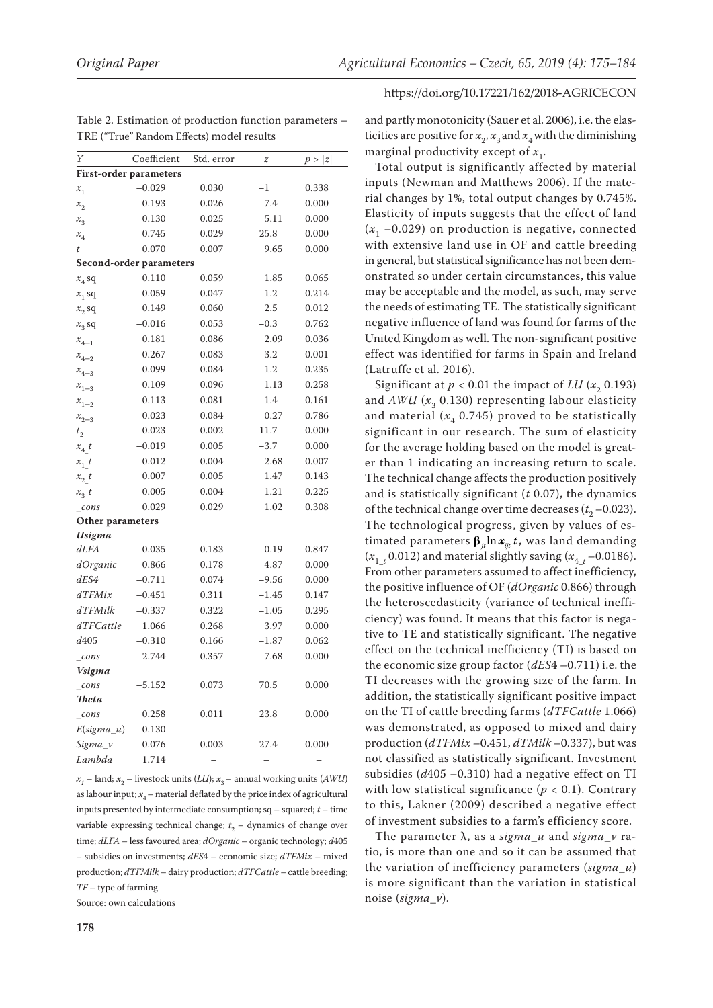| Y                | Coefficient                    | Std. error | z       | p >  z |
|------------------|--------------------------------|------------|---------|--------|
|                  | <b>First-order parameters</b>  |            |         |        |
| $x_{1}$          | $-0.029$                       | 0.030      | $^{-1}$ | 0.338  |
| $x_{2}$          | 0.193                          | 0.026      | 7.4     | 0.000  |
| $x^{\ }_3$       | 0.130                          | 0.025      | 5.11    | 0.000  |
| $x_{4}$          | 0.745                          | 0.029      | 25.8    | 0.000  |
| t                | 0.070                          | 0.007      | 9.65    | 0.000  |
|                  | <b>Second-order parameters</b> |            |         |        |
| $x_4$ sq         | 0.110                          | 0.059      | 1.85    | 0.065  |
| $x_1$ sq         | $-0.059$                       | 0.047      | $-1.2$  | 0.214  |
| $x_2$ sq         | 0.149                          | 0.060      | 2.5     | 0.012  |
| $x_3$ sq         | $-0.016$                       | 0.053      | $-0.3$  | 0.762  |
| $x_{4-1}$        | 0.181                          | 0.086      | 2.09    | 0.036  |
| $x_{4-2}$        | $-0.267$                       | 0.083      | $-3.2$  | 0.001  |
| $x_{4-3}$        | $-0.099$                       | 0.084      | $-1.2$  | 0.235  |
| $x_{1-3}$        | 0.109                          | 0.096      | 1.13    | 0.258  |
| $x_{1-2}$        | $-0.113$                       | 0.081      | $-1.4$  | 0.161  |
| $x_{2-3}$        | 0.023                          | 0.084      | 0.27    | 0.786  |
| t <sub>2</sub>   | $-0.023$                       | 0.002      | 11.7    | 0.000  |
| $x_4$ t          | $-0.019$                       | 0.005      | $-3.7$  | 0.000  |
| $x_1$ t          | 0.012                          | 0.004      | 2.68    | 0.007  |
| $x_2$ t          | 0.007                          | 0.005      | 1.47    | 0.143  |
| $x_3$ t          | 0.005                          | 0.004      | 1.21    | 0.225  |
| $_{cons}$        | 0.029                          | 0.029      | 1.02    | 0.308  |
| Other parameters |                                |            |         |        |
| Usigma           |                                |            |         |        |
| dLFA             | 0.035                          | 0.183      | 0.19    | 0.847  |
| dOrganic         | 0.866                          | 0.178      | 4.87    | 0.000  |
| dES4             | $-0.711$                       | 0.074      | $-9.56$ | 0.000  |
| $d$ TFMix        | $-0.451$                       | 0.311      | $-1.45$ | 0.147  |
| dTFMilk          | $-0.337$                       | 0.322      | $-1.05$ | 0.295  |
| dTFCattle        | 1.066                          | 0.268      | 3.97    | 0.000  |
| d405             | $-0.310$                       | 0.166      | $-1.87$ | 0.062  |
| $_{cons}$        | $-2.744$                       | 0.357      | $-7.68$ | 0.000  |
| Vsigma           |                                |            |         |        |
| cons             | $-5.152$                       | 0.073      | 70.5    | 0.000  |
| <b>Theta</b>     |                                |            |         |        |
| cons             | 0.258                          | 0.011      | 23.8    | 0.000  |
| $E(signa_u)$     | 0.130                          |            |         |        |
| Sigma v          | 0.076                          | 0.003      | 27.4    | 0.000  |
| Lambda           | 1.714                          |            |         |        |

Table 2. Estimation of production function parameters – TRE ("True" Random Effects) model results

 $x_1$  – land;  $x_2$  – livestock units (*LU*);  $x_3$  – annual working units (*AWU*) as labour input;  $x_4$  – material deflated by the price index of agricultural inputs presented by intermediate consumption; sq – squared; *t* – time variable expressing technical change; *t* 2 – dynamics of change over time; *dLFA* – less favoured area; *dOrganic* – organic technology; *d*405 *–* subsidies on investments; *dES*4 – economic size; *dTFMix* – mixed production; *dTFMilk* – dairy production; *dTFCattle –* cattle breeding; *TF* – type of farming

Source: own calculations

and partly monotonicity (Sauer et al. 2006), i.e. the elasticities are positive for  $x_2$ ,  $x_3$  and  $x_4$  with the diminishing marginal productivity except of  $x_1$ .

Total output is significantly affected by material inputs (Newman and Matthews 2006). If the material changes by 1%, total output changes by 0.745%. Elasticity of inputs suggests that the effect of land  $(x<sub>1</sub> -0.029)$  on production is negative, connected with extensive land use in OF and cattle breeding in general, but statistical significance has not been demonstrated so under certain circumstances, this value may be acceptable and the model, as such, may serve the needs of estimating TE. The statistically significant negative influence of land was found for farms of the United Kingdom as well. The non-significant positive effect was identified for farms in Spain and Ireland (Latruffe et al. 2016).

Significant at  $p < 0.01$  the impact of *LU* ( $x$ <sub>2</sub>, 0.193) and  $AWU$  ( $x_2$  0.130) representing labour elasticity and material  $(x_4, 0.745)$  proved to be statistically significant in our research. The sum of elasticity for the average holding based on the model is greater than 1 indicating an increasing return to scale. The technical change affects the production positively and is statistically significant (*t* 0.07), the dynamics of the technical change over time decreases  $(t_2$  –0.023). The technological progress, given by values of estimated parameters  $\beta_{i} \ln x_{i} t$ , was land demanding  $(x_{1_t}$  0.012) and material slightly saving ( $x_{4_t}$  –0.0186). From other parameters assumed to affect inefficiency, the positive influence of OF (*dOrganic* 0.866) through the heteroscedasticity (variance of technical inefficiency) was found. It means that this factor is negative to TE and statistically significant. The negative effect on the technical inefficiency (TI) is based on the economic size group factor (*dES*4 –0.711) i.e. the TI decreases with the growing size of the farm. In addition, the statistically significant positive impact on the TI of cattle breeding farms (*dTFCattle* 1.066) was demonstrated, as opposed to mixed and dairy production (*dTFMix* –0.451, *dTMilk* –0.337), but was not classified as statistically significant. Investment subsidies (*d*405 –0.310) had a negative effect on TI with low statistical significance ( $p < 0.1$ ). Contrary to this, Lakner (2009) described a negative effect of investment subsidies to a farm's efficiency score.

The parameter λ, as a *sigma*\_*u* and *sigma*\_*v* ratio, is more than one and so it can be assumed that the variation of inefficiency parameters (*sigma*\_*u*) is more significant than the variation in statistical noise (*sigma*\_*v*).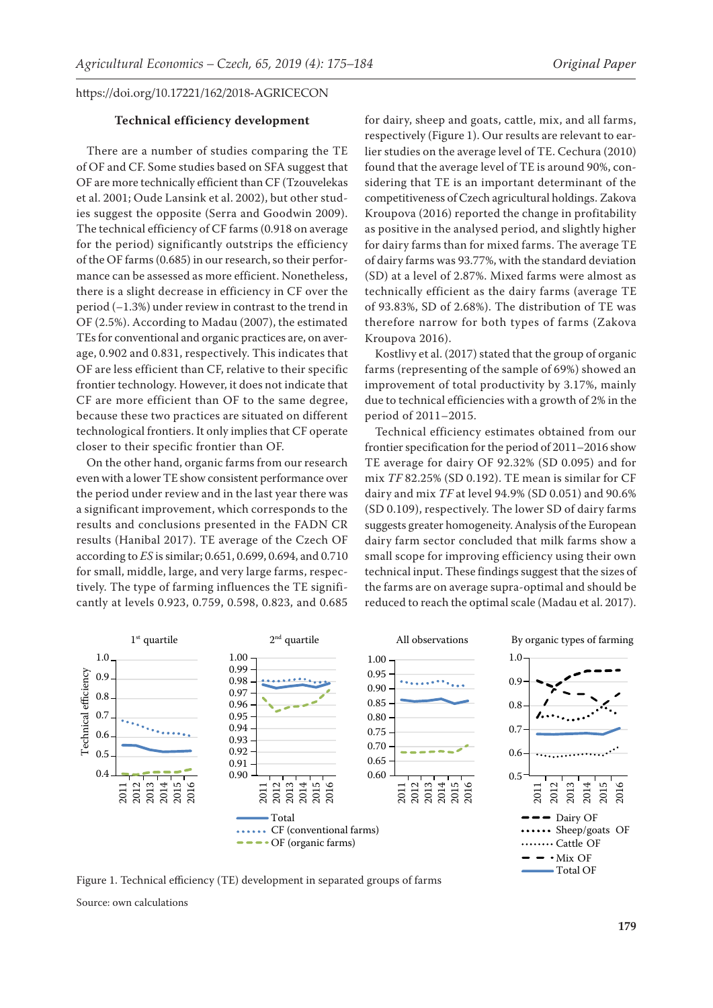#### **Technical efficiency development**

There are a number of studies comparing the TE of OF and CF. Some studies based on SFA suggest that OF are more technically efficient than CF (Tzouvelekas et al. 2001; Oude Lansink et al. 2002), but other studies suggest the opposite (Serra and Goodwin 2009). The technical efficiency of CF farms (0.918 on average for the period) significantly outstrips the efficiency of the OF farms (0.685) in our research, so their performance can be assessed as more efficient. Nonetheless, there is a slight decrease in efficiency in CF over the period (*–*1.3%) under review in contrast to the trend in OF (2.5%). According to Madau (2007), the estimated TEs for conventional and organic practices are, on average, 0.902 and 0.831, respectively. This indicates that OF are less efficient than CF, relative to their specific frontier technology. However, it does not indicate that CF are more efficient than OF to the same degree, because these two practices are situated on different technological frontiers. It only implies that CF operate closer to their specific frontier than OF.

On the other hand, organic farms from our research even with a lower TE show consistent performance over the period under review and in the last year there was a significant improvement, which corresponds to the results and conclusions presented in the FADN CR results (Hanibal 2017). TE average of the Czech OF according to *ES* is similar; 0.651, 0.699, 0.694, and 0.710 for small, middle, large, and very large farms, respectively. The type of farming influences the TE significantly at levels 0.923, 0.759, 0.598, 0.823, and 0.685

for dairy, sheep and goats, cattle, mix, and all farms, respectively (Figure 1). Our results are relevant to earlier studies on the average level of TE. Cechura (2010) found that the average level of TE is around 90%, considering that TE is an important determinant of the competitiveness of Czech agricultural holdings. Zakova Kroupova (2016) reported the change in profitability as positive in the analysed period, and slightly higher for dairy farms than for mixed farms. The average TE of dairy farms was 93.77%, with the standard deviation (SD) at a level of 2.87%. Mixed farms were almost as technically efficient as the dairy farms (average TE of 93.83%, SD of 2.68%). The distribution of TE was therefore narrow for both types of farms (Zakova Kroupova 2016).

Kostlivy et al. (2017) stated that the group of organic farms (representing of the sample of 69%) showed an improvement of total productivity by 3.17%, mainly due to technical efficiencies with a growth of 2% in the period of 2011–2015.

Technical efficiency estimates obtained from our frontier specification for the period of 2011–2016 show TE average for dairy OF 92.32% (SD 0.095) and for mix *TF* 82.25% (SD 0.192). TE mean is similar for CF dairy and mix *TF* at level 94.9% (SD 0.051) and 90.6% (SD 0.109), respectively. The lower SD of dairy farms suggests greater homogeneity. Analysis of the European dairy farm sector concluded that milk farms show a small scope for improving efficiency using their own technical input. These findings suggest that the sizes of the farms are on average supra-optimal and should be reduced to reach the optimal scale (Madau et al. 2017).



Figure 1. Technical efficiency (TE) development in separated groups of farms

Source: own calculations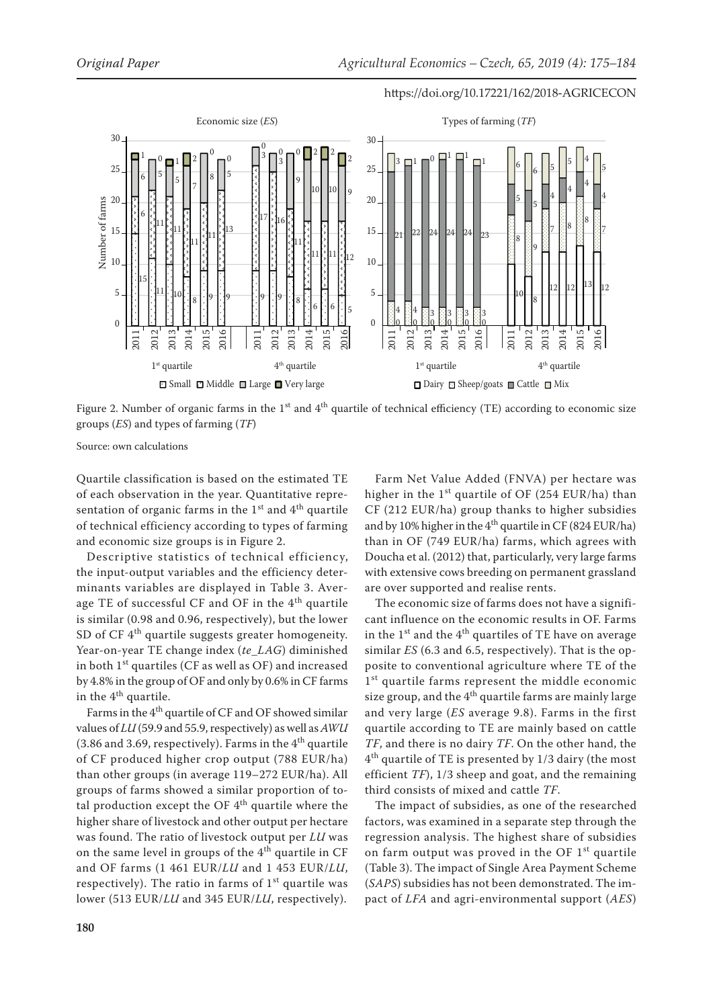

Figure 2. Number of organic farms in the  $1<sup>st</sup>$  and  $4<sup>th</sup>$  quartile of technical efficiency (TE) according to economic size groups (*ES*) and types of farming (*TF*)

Source: own calculations

Quartile classification is based on the estimated TE of each observation in the year. Quantitative representation of organic farms in the  $1<sup>st</sup>$  and  $4<sup>th</sup>$  quartile of technical efficiency according to types of farming and economic size groups is in Figure 2.

Descriptive statistics of technical efficiency, the input-output variables and the efficiency determinants variables are displayed in Table 3. Average TE of successful CF and OF in the 4<sup>th</sup> quartile is similar (0.98 and 0.96, respectively), but the lower SD of CF  $4<sup>th</sup>$  quartile suggests greater homogeneity. Year-on-year TE change index (*te*\_*LAG*) diminished in both  $1<sup>st</sup>$  quartiles (CF as well as OF) and increased by 4.8% in the group of OF and only by 0.6% in CF farms in the  $4<sup>th</sup>$  quartile.

Farms in the  $4<sup>th</sup>$  quartile of CF and OF showed similar values of *LU* (59.9 and 55.9, respectively) as well as *AWU* (3.86 and 3.69, respectively). Farms in the  $4<sup>th</sup>$  quartile of CF produced higher crop output (788 EUR/ha) than other groups (in average 119–272 EUR/ha). All groups of farms showed a similar proportion of total production except the OF  $4<sup>th</sup>$  quartile where the higher share of livestock and other output per hectare was found. The ratio of livestock output per *LU* was on the same level in groups of the  $4<sup>th</sup>$  quartile in CF and OF farms (1 461 EUR/*LU* and 1 453 EUR/*LU*, respectively). The ratio in farms of  $1<sup>st</sup>$  quartile was lower (513 EUR/*LU* and 345 EUR/*LU*, respectively).

Farm Net Value Added (FNVA) per hectare was higher in the  $1<sup>st</sup>$  quartile of OF (254 EUR/ha) than CF (212 EUR/ha) group thanks to higher subsidies and by 10% higher in the  $4<sup>th</sup>$  quartile in CF (824 EUR/ha) than in OF (749 EUR/ha) farms, which agrees with Doucha et al. (2012) that, particularly, very large farms with extensive cows breeding on permanent grassland are over supported and realise rents.

The economic size of farms does not have a significant influence on the economic results in OF. Farms in the  $1<sup>st</sup>$  and the  $4<sup>th</sup>$  quartiles of TE have on average similar *ES* (6.3 and 6.5, respectively). That is the opposite to conventional agriculture where TE of the 1<sup>st</sup> quartile farms represent the middle economic size group, and the  $4<sup>th</sup>$  quartile farms are mainly large and very large (*ES* average 9.8). Farms in the first quartile according to TE are mainly based on cattle *TF*, and there is no dairy *TF*. On the other hand, the  $4<sup>th</sup>$  quartile of TE is presented by 1/3 dairy (the most efficient *TF*), 1/3 sheep and goat, and the remaining third consists of mixed and cattle *TF*.

The impact of subsidies, as one of the researched factors, was examined in a separate step through the regression analysis. The highest share of subsidies on farm output was proved in the OF  $1<sup>st</sup>$  quartile (Table 3). The impact of Single Area Payment Scheme (*SAPS*) subsidies has not been demonstrated. The impact of *LFA* and agri-environmental support (*AES*)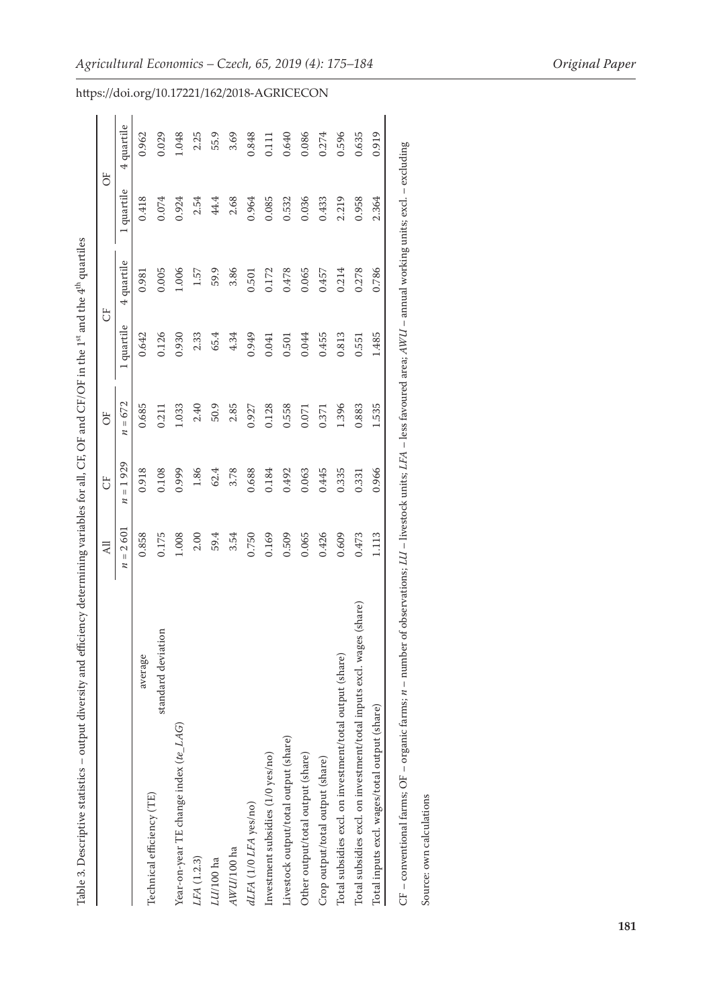| l                                                                  |
|--------------------------------------------------------------------|
|                                                                    |
|                                                                    |
|                                                                    |
| I CEIOT : 41. 1SE                                                  |
|                                                                    |
|                                                                    |
|                                                                    |
|                                                                    |
|                                                                    |
| ֘֝֬                                                                |
|                                                                    |
|                                                                    |
|                                                                    |
|                                                                    |
| ١                                                                  |
|                                                                    |
|                                                                    |
|                                                                    |
|                                                                    |
| Ş                                                                  |
|                                                                    |
| ֧֖֦֧֦֧֦֧֚֚֚֝֝֝֝֬֝<br>֧֧֧֚֚֚֚֚֚֚֚֚֚֚֚֚֚֚֚֚֚֚֚֝֝֝<br>֧֧֚֚֚֝ <u>֓</u> |
| ı<br>ξ                                                             |
| r in<br><b>SPACE</b>                                               |
| l                                                                  |
| I                                                                  |
| ֖֚֬֕֕                                                              |
|                                                                    |
| í                                                                  |
| i<br>Í                                                             |
| Ï<br>j<br>l<br>י                                                   |
|                                                                    |
|                                                                    |

|                                                                      |                    | $\overline{AB}$                         | ö             | öË           |            | ö          | öF         |            |
|----------------------------------------------------------------------|--------------------|-----------------------------------------|---------------|--------------|------------|------------|------------|------------|
|                                                                      |                    | 2601<br>$\ensuremath{\mathsf{II}}$<br>и | $= 1929$<br>z | $= 672$<br>z | 1 quartile | 4 quartile | 1 quartile | 4 quartile |
|                                                                      | average            | 0.858                                   | 0.918         | 0.685        | 0.642      | 0.981      | 0.418      | 0.962      |
| Technical efficiency (TE)                                            | standard deviation | 0.175                                   | 0.108         | 0.211        | 0.126      | 0.005      | 0.074      | 0.029      |
| Year-on-year TE change index (te_LAG)                                |                    | 1.008                                   | 0.999         | 1.033        | 0.930      | 1.006      | 0.924      | 1.048      |
| LFA (1.2.3)                                                          |                    | 2.00                                    | 1.86          | 2.40         | 2.33       | 1.57       | 2.54       | 2.25       |
| LU/100 ha                                                            |                    | 59.4                                    | 62.4          | 50.9         | 65.4       | 59.9       | 44.4       | 55.9       |
| AWU/100 ha                                                           |                    | 3.54                                    | 3.78          | 2.85         | 4.34       | 3.86       | 2.68       | 3.69       |
| dLFA (1/0 LFA yes/no)                                                |                    | 0.750                                   | 0.688         | 0.927        | 0.949      | 0.501      | 0.964      | 0.848      |
| Investment subsidies (1/0 yes/no)                                    |                    | 0.169                                   | 0.184         | 0.128        | 0.041      | 0.172      | 0.085      | 0.111      |
| Livestock output/total output (share)                                |                    | 0.509                                   | 0.492         | 0.558        | 0.501      | 0.478      | 0.532      | 0.640      |
| Other output/total output (share)                                    |                    | 0.065                                   | 0.063         | 0.071        | 0.044      | 0.065      | 0.036      | 0.086      |
| Crop output/total output (share)                                     |                    | 0.426                                   | 0.445         | 0.371        | 0.455      | 0.457      | 0.433      | 0.274      |
| Total subsidies excl. on investment/total output (share)             |                    | 0.609                                   | 0.335         | 1.396        | 0.813      | 0.214      | 2.219      | 0.596      |
| Total subsidies excl. on investment/total inputs excl. wages (share) |                    | 0.473                                   | 0.331         | 0.883        | 0.551      | 0.278      | 0.958      | 0.635      |
| Total inputs excl. wages/total output (share)                        |                    | 1.113                                   | 0.966         | 1.535        | 1.485      | 0.786      | 2.364      | 0.919      |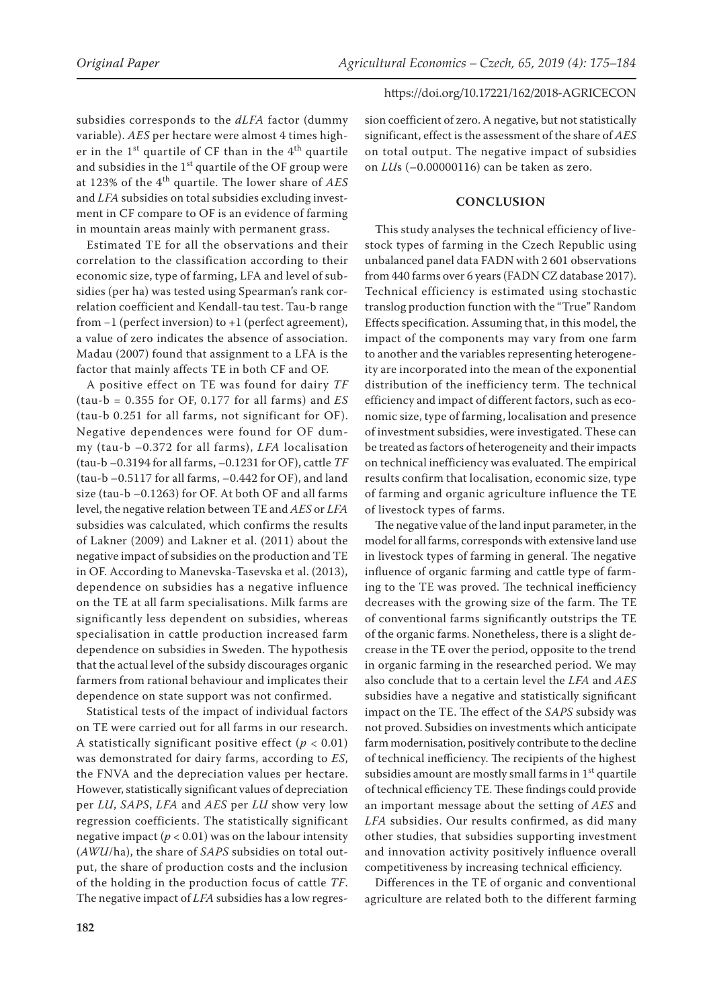subsidies corresponds to the *dLFA* factor (dummy variable). *AES* per hectare were almost 4 times higher in the  $1<sup>st</sup>$  quartile of CF than in the  $4<sup>th</sup>$  quartile and subsidies in the  $1<sup>st</sup>$  quartile of the OF group were at 123% of the 4th quartile. The lower share of *AES* and *LFA* subsidies on total subsidies excluding investment in CF compare to OF is an evidence of farming in mountain areas mainly with permanent grass.

Estimated TE for all the observations and their correlation to the classification according to their economic size, type of farming, LFA and level of subsidies (per ha) was tested using Spearman's rank correlation coefficient and Kendall-tau test. Tau-b range from −1 (perfect inversion) to +1 (perfect agreement), a value of zero indicates the absence of association. Madau (2007) found that assignment to a LFA is the factor that mainly affects TE in both CF and OF.

A positive effect on TE was found for dairy *TF* (tau-b = 0.355 for OF, 0.177 for all farms) and *ES* (tau-b 0.251 for all farms, not significant for OF). Negative dependences were found for OF dummy (tau-b –0.372 for all farms), *LFA* localisation (tau-b –0.3194 for all farms, –0.1231 for OF), cattle *TF* (tau-b –0.5117 for all farms, –0.442 for OF), and land size (tau-b –0.1263) for OF. At both OF and all farms level, the negative relation between TE and *AES* or *LFA* subsidies was calculated, which confirms the results of Lakner (2009) and Lakner et al. (2011) about the negative impact of subsidies on the production and TE in OF. According to Manevska-Tasevska et al. (2013), dependence on subsidies has a negative influence on the TE at all farm specialisations. Milk farms are significantly less dependent on subsidies, whereas specialisation in cattle production increased farm dependence on subsidies in Sweden. The hypothesis that the actual level of the subsidy discourages organic farmers from rational behaviour and implicates their dependence on state support was not confirmed.

Statistical tests of the impact of individual factors on TE were carried out for all farms in our research. A statistically significant positive effect  $(p < 0.01)$ was demonstrated for dairy farms, according to *ES*, the FNVA and the depreciation values per hectare. However, statistically significant values of depreciation per *LU*, *SAPS*, *LFA* and *AES* per *LU* show very low regression coefficients. The statistically significant negative impact  $(p < 0.01)$  was on the labour intensity (*AWU*/ha), the share of *SAPS* subsidies on total output, the share of production costs and the inclusion of the holding in the production focus of cattle *TF*. The negative impact of *LFA* subsidies has a low regres-

sion coefficient of zero. A negative, but not statistically significant, effect is the assessment of the share of *AES* on total output. The negative impact of subsidies on *LU*s (–0.00000116) can be taken as zero.

# **CONCLUSION**

This study analyses the technical efficiency of livestock types of farming in the Czech Republic using unbalanced panel data FADN with 2 601 observations from 440 farms over 6 years (FADN CZ database 2017). Technical efficiency is estimated using stochastic translog production function with the "True" Random Effects specification. Assuming that, in this model, the impact of the components may vary from one farm to another and the variables representing heterogeneity are incorporated into the mean of the exponential distribution of the inefficiency term. The technical efficiency and impact of different factors, such as economic size, type of farming, localisation and presence of investment subsidies, were investigated. These can be treated as factors of heterogeneity and their impacts on technical inefficiency was evaluated. The empirical results confirm that localisation, economic size, type of farming and organic agriculture influence the TE of livestock types of farms.

The negative value of the land input parameter, in the model for all farms, corresponds with extensive land use in livestock types of farming in general. The negative influence of organic farming and cattle type of farming to the TE was proved. The technical inefficiency decreases with the growing size of the farm. The TE of conventional farms significantly outstrips the TE of the organic farms. Nonetheless, there is a slight decrease in the TE over the period, opposite to the trend in organic farming in the researched period. We may also conclude that to a certain level the *LFA* and *AES* subsidies have a negative and statistically significant impact on the TE. The effect of the *SAPS* subsidy was not proved. Subsidies on investments which anticipate farm modernisation, positively contribute to the decline of technical inefficiency. The recipients of the highest subsidies amount are mostly small farms in  $1<sup>st</sup>$  quartile of technical efficiency TE. These findings could provide an important message about the setting of *AES* and *LFA* subsidies. Our results confirmed, as did many other studies, that subsidies supporting investment and innovation activity positively influence overall competitiveness by increasing technical efficiency.

Differences in the TE of organic and conventional agriculture are related both to the different farming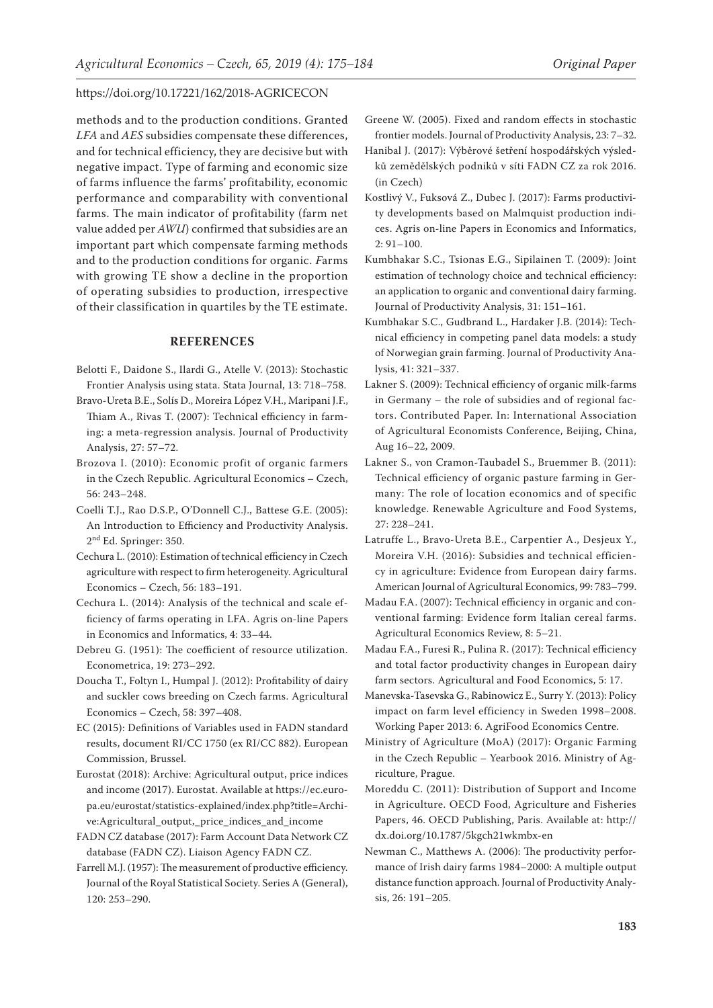methods and to the production conditions. Granted *LFA* and *AES* subsidies compensate these differences, and for technical efficiency, they are decisive but with negative impact. Type of farming and economic size of farms influence the farms' profitability, economic performance and comparability with conventional farms. The main indicator of profitability (farm net value added per *AWU*) confirmed that subsidies are an important part which compensate farming methods and to the production conditions for organic. *F*arms with growing TE show a decline in the proportion of operating subsidies to production, irrespective of their classification in quartiles by the TE estimate.

#### **REFERENCES**

- Belotti F., Daidone S., Ilardi G., Atelle V. (2013): Stochastic Frontier Analysis using stata. Stata Journal, 13: 718–758.
- Bravo-Ureta B.E., Solís D., Moreira López V.H., Maripani J.F., Thiam A., Rivas T. (2007): Technical efficiency in farming: a meta-regression analysis. Journal of Productivity Analysis, 27: 57–72.
- Brozova I. (2010): Economic profit of organic farmers in the Czech Republic. Agricultural Economics – Czech, 56: 243–248.
- Coelli T.J., Rao D.S.P., O'Donnell C.J., Battese G.E. (2005): An Introduction to Efficiency and Productivity Analysis. 2nd Ed. Springer: 350.
- Cechura L. (2010): Estimation of technical efficiency in Czech agriculture with respect to firm heterogeneity. Agricultural Economics – Czech, 56: 183–191.
- Cechura L. (2014): Analysis of the technical and scale efficiency of farms operating in LFA. Agris on-line Papers in Economics and Informatics, 4: 33–44.
- Debreu G. (1951): The coefficient of resource utilization. Econometrica, 19: 273–292.
- Doucha T., Foltyn I., Humpal J. (2012): Profitability of dairy and suckler cows breeding on Czech farms. Agricultural Economics – Czech, 58: 397–408.
- EC (2015): Definitions of Variables used in FADN standard results, document RI/CC 1750 (ex RI/CC 882). European Commission, Brussel.
- Eurostat (2018): Archive: Agricultural output, price indices and income (2017). Eurostat. Available at https://ec.europa.eu/eurostat/statistics-explained/index.php?title=Archive:Agricultural\_output,\_price\_indices\_and\_income
- FADN CZ database (2017): Farm Account Data Network CZ database (FADN CZ). Liaison Agency FADN CZ.
- Farrell M.J. (1957): The measurement of productive efficiency. Journal of the Royal Statistical Society. Series A (General), 120: 253–290.
- Greene W. (2005). Fixed and random effects in stochastic frontier models. Journal of Productivity Analysis, 23: 7–32.
- Hanibal J. (2017): Výběrové šetření hospodářských výsledků zemědělských podniků v síti FADN CZ za rok 2016. (in Czech)
- Kostlivý V., Fuksová Z., Dubec J. (2017): Farms productivity developments based on Malmquist production indices. Agris on-line Papers in Economics and Informatics, 2: 91–100.
- Kumbhakar S.C., Tsionas E.G., Sipilainen T. (2009): Joint estimation of technology choice and technical efficiency: an application to organic and conventional dairy farming. Journal of Productivity Analysis, 31: 151–161.
- Kumbhakar S.C., Gudbrand L., Hardaker J.B. (2014): Technical efficiency in competing panel data models: a study of Norwegian grain farming. Journal of Productivity Analysis, 41: 321–337.
- Lakner S. (2009): Technical efficiency of organic milk-farms in Germany – the role of subsidies and of regional factors. Contributed Paper. In: International Association of Agricultural Economists Conference, Beijing, China, Aug 16–22, 2009.
- Lakner S., von Cramon-Taubadel S., Bruemmer B. (2011): Technical efficiency of organic pasture farming in Germany: The role of location economics and of specific knowledge. Renewable Agriculture and Food Systems, 27: 228–241.
- Latruffe L., Bravo-Ureta B.E., Carpentier A., Desjeux Y., Moreira V.H. (2016): Subsidies and technical efficiency in agriculture: Evidence from European dairy farms. American Journal of Agricultural Economics, 99: 783–799.
- Madau F.A. (2007): Technical efficiency in organic and conventional farming: Evidence form Italian cereal farms. Agricultural Economics Review, 8: 5–21.
- Madau F.A., Furesi R., Pulina R. (2017): Technical efficiency and total factor productivity changes in European dairy farm sectors. Agricultural and Food Economics, 5: 17.
- Manevska-Tasevska G., Rabinowicz E., Surry Y. (2013): Policy impact on farm level efficiency in Sweden 1998–2008. Working Paper 2013: 6. AgriFood Economics Centre.
- Ministry of Agriculture (MoA) (2017): Organic Farming in the Czech Republic – Yearbook 2016. Ministry of Agriculture, Prague.
- Moreddu C. (2011): Distribution of Support and Income in Agriculture. OECD Food, Agriculture and Fisheries Papers, 46. OECD Publishing, Paris. Available at: http:// dx.doi.org/10.1787/5kgch21wkmbx-en
- Newman C., Matthews A. (2006): The productivity performance of Irish dairy farms 1984–2000: A multiple output distance function approach. Journal of Productivity Analysis, 26: 191–205.